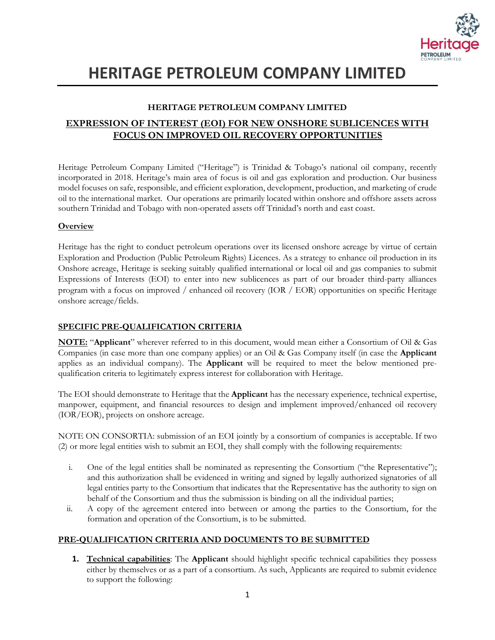

# **HERITAGE PETROLEUM COMPANY LIMITED**

### **HERITAGE PETROLEUM COMPANY LIMITED**

### **EXPRESSION OF INTEREST (EOI) FOR NEW ONSHORE SUBLICENCES WITH FOCUS ON IMPROVED OIL RECOVERY OPPORTUNITIES**

Heritage Petroleum Company Limited ("Heritage") is Trinidad & Tobago's national oil company, recently incorporated in 2018. Heritage's main area of focus is oil and gas exploration and production. Our business model focuses on safe, responsible, and efficient exploration, development, production, and marketing of crude oil to the international market. Our operations are primarily located within onshore and offshore assets across southern Trinidad and Tobago with non-operated assets off Trinidad's north and east coast.

### **Overview**

Heritage has the right to conduct petroleum operations over its licensed onshore acreage by virtue of certain Exploration and Production (Public Petroleum Rights) Licences. As a strategy to enhance oil production in its Onshore acreage, Heritage is seeking suitably qualified international or local oil and gas companies to submit Expressions of Interests (EOI) to enter into new sublicences as part of our broader third-party alliances program with a focus on improved / enhanced oil recovery (IOR / EOR) opportunities on specific Heritage onshore acreage/fields.

### **SPECIFIC PRE-QUALIFICATION CRITERIA**

**NOTE:** "**Applicant**" wherever referred to in this document, would mean either a Consortium of Oil & Gas Companies (in case more than one company applies) or an Oil & Gas Company itself (in case the **Applicant** applies as an individual company). The **Applicant** will be required to meet the below mentioned prequalification criteria to legitimately express interest for collaboration with Heritage.

The EOI should demonstrate to Heritage that the **Applicant** has the necessary experience, technical expertise, manpower, equipment, and financial resources to design and implement improved/enhanced oil recovery (IOR/EOR), projects on onshore acreage.

NOTE ON CONSORTIA: submission of an EOI jointly by a consortium of companies is acceptable. If two (2) or more legal entities wish to submit an EOI, they shall comply with the following requirements:

- i. One of the legal entities shall be nominated as representing the Consortium ("the Representative"); and this authorization shall be evidenced in writing and signed by legally authorized signatories of all legal entities party to the Consortium that indicates that the Representative has the authority to sign on behalf of the Consortium and thus the submission is binding on all the individual parties;
- ii. A copy of the agreement entered into between or among the parties to the Consortium, for the formation and operation of the Consortium, is to be submitted.

### **PRE-QUALIFICATION CRITERIA AND DOCUMENTS TO BE SUBMITTED**

**1. Technical capabilities**: The **Applicant** should highlight specific technical capabilities they possess either by themselves or as a part of a consortium. As such, Applicants are required to submit evidence to support the following: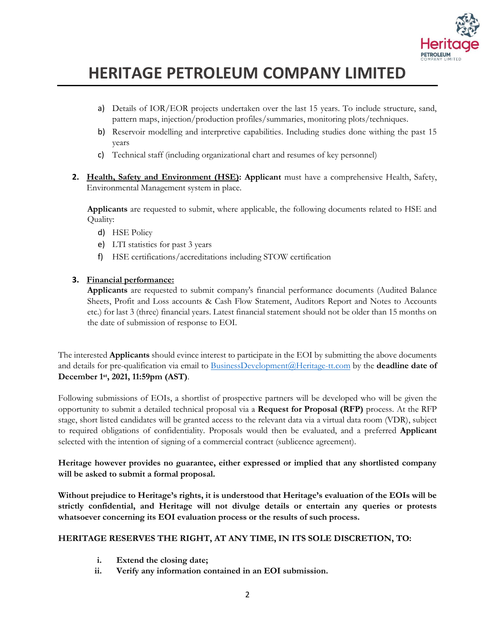

## **HERITAGE PETROLEUM COMPANY LIMITED**

- a) Details of IOR/EOR projects undertaken over the last 15 years. To include structure, sand, pattern maps, injection/production profiles/summaries, monitoring plots/techniques.
- b) Reservoir modelling and interpretive capabilities. Including studies done withing the past 15 years
- c) Technical staff (including organizational chart and resumes of key personnel)
- **2. Health, Safety and Environment (HSE): Applicant** must have a comprehensive Health, Safety, Environmental Management system in place.

**Applicants** are requested to submit, where applicable, the following documents related to HSE and Quality:

- d) HSE Policy
- e) LTI statistics for past 3 years
- f) HSE certifications/accreditations including STOW certification

#### **3. Financial performance:**

**Applicants** are requested to submit company's financial performance documents (Audited Balance Sheets, Profit and Loss accounts & Cash Flow Statement, Auditors Report and Notes to Accounts etc.) for last 3 (three) financial years. Latest financial statement should not be older than 15 months on the date of submission of response to EOI.

The interested **Applicants** should evince interest to participate in the EOI by submitting the above documents and details for pre-qualification via email to [BusinessDevelopment@Heritage-tt.com](mailto:BusinessDevelopment@Heritage-tt.com) by the **deadline date of December 1st, 2021, 11:59pm (AST)**.

Following submissions of EOIs, a shortlist of prospective partners will be developed who will be given the opportunity to submit a detailed technical proposal via a **Request for Proposal (RFP)** process. At the RFP stage, short listed candidates will be granted access to the relevant data via a virtual data room (VDR), subject to required obligations of confidentiality. Proposals would then be evaluated, and a preferred **Applicant** selected with the intention of signing of a commercial contract (sublicence agreement).

#### **Heritage however provides no guarantee, either expressed or implied that any shortlisted company will be asked to submit a formal proposal.**

**Without prejudice to Heritage's rights, it is understood that Heritage's evaluation of the EOIs will be strictly confidential, and Heritage will not divulge details or entertain any queries or protests whatsoever concerning its EOI evaluation process or the results of such process.**

### **HERITAGE RESERVES THE RIGHT, AT ANY TIME, IN ITS SOLE DISCRETION, TO:**

- **i. Extend the closing date;**
- **ii. Verify any information contained in an EOI submission.**